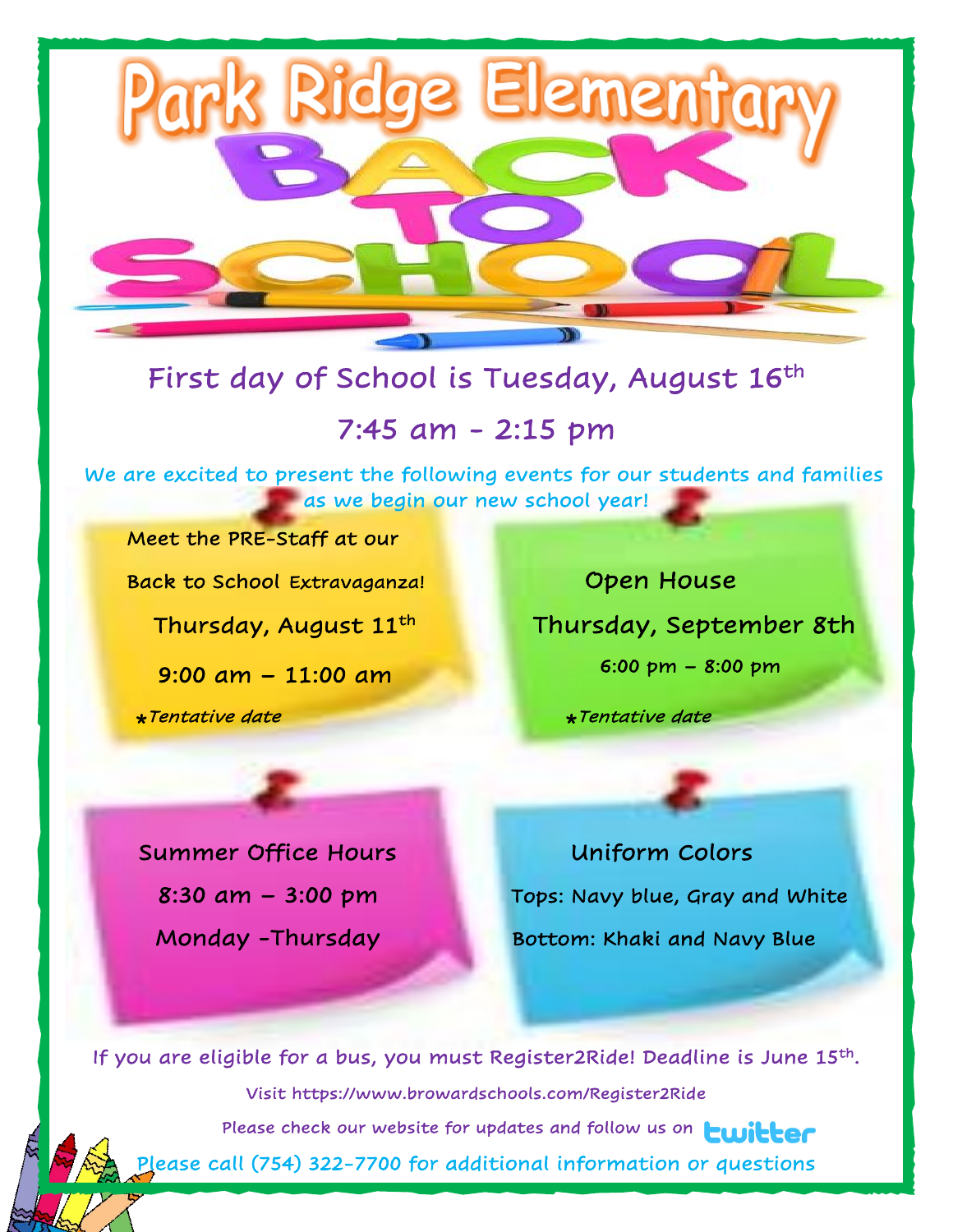

Ridge

## 7:45 am - 2:15 pm

 We are excited to present the following events for our students and families as we begin our new school year!

Meet the PRE-Staff at our

Back to School Extravaganza! Open House

9:00 am – 11:00 am

 \* \*Tentative date

 Thursday, August 11th Thursday, September 8th 6:00 pm – 8:00 pm

\* Tentative date

Element

Summer Office Hours **Example 20 Uniform Colors**  $8:30$  am  $-3:00$  pm Tops: Navy blue, Gray and White Monday -Thursday Bottom: Khaki and Navy Blue

If you are eligible for a bus, you must Register2Ride! Deadline is June 15th. Visit https://www.browardschools.com/Register2Ride Please check our website for updates and follow us on **Lwitter** Please call (754) 322-7700 for additional information or questions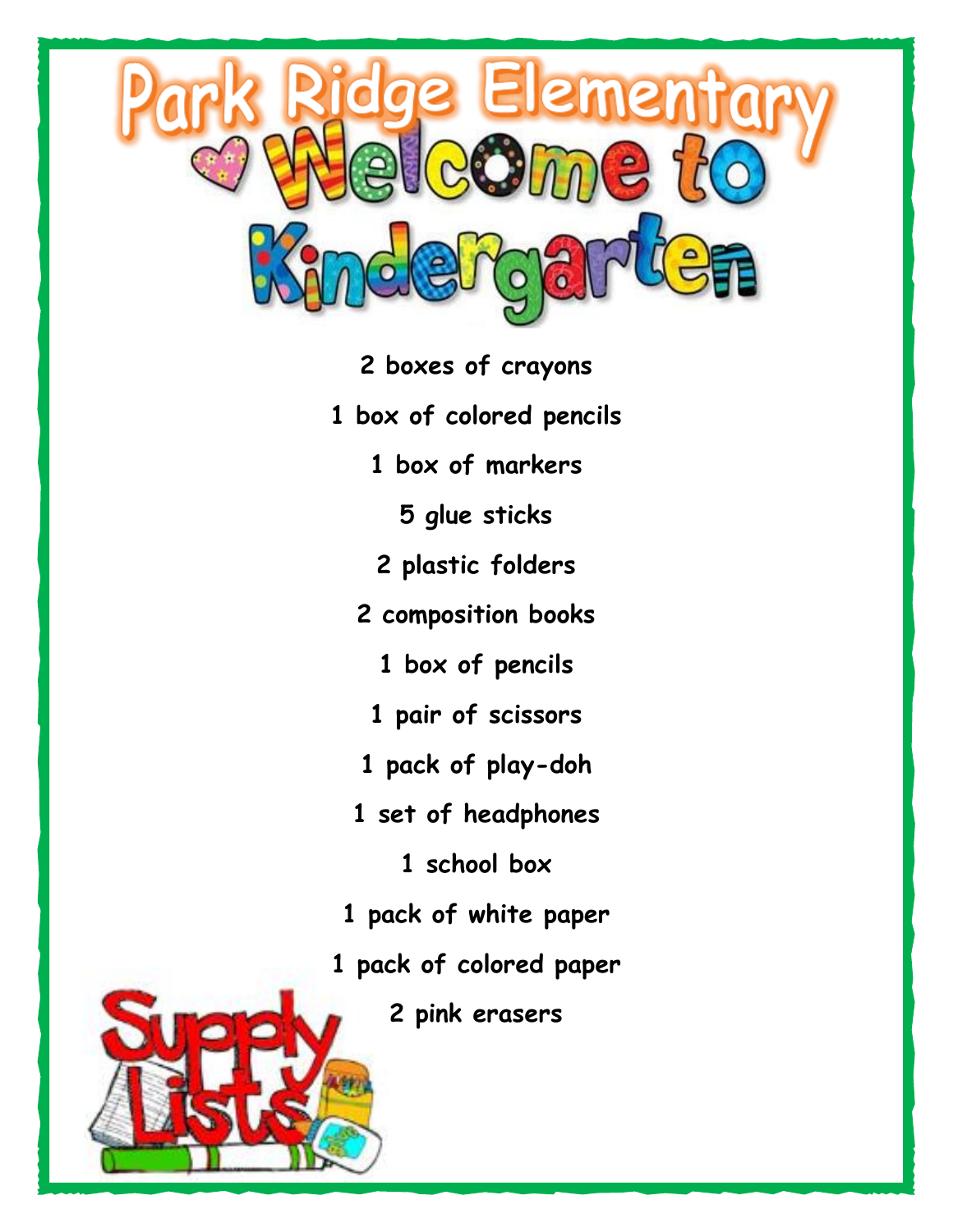

- **2 boxes of crayons**
- **1 box of colored pencils**
	- **1 box of markers**
		- **5 glue sticks**
	- **2 plastic folders**
	- **2 composition books**
		- **1 box of pencils**
		- **1 pair of scissors**
	- **1 pack of play-doh**
	- **1 set of headphones**
		- **1 school box**
- **1 pack of white paper**
- **1 pack of colored paper**
	- **2 pink erasers**

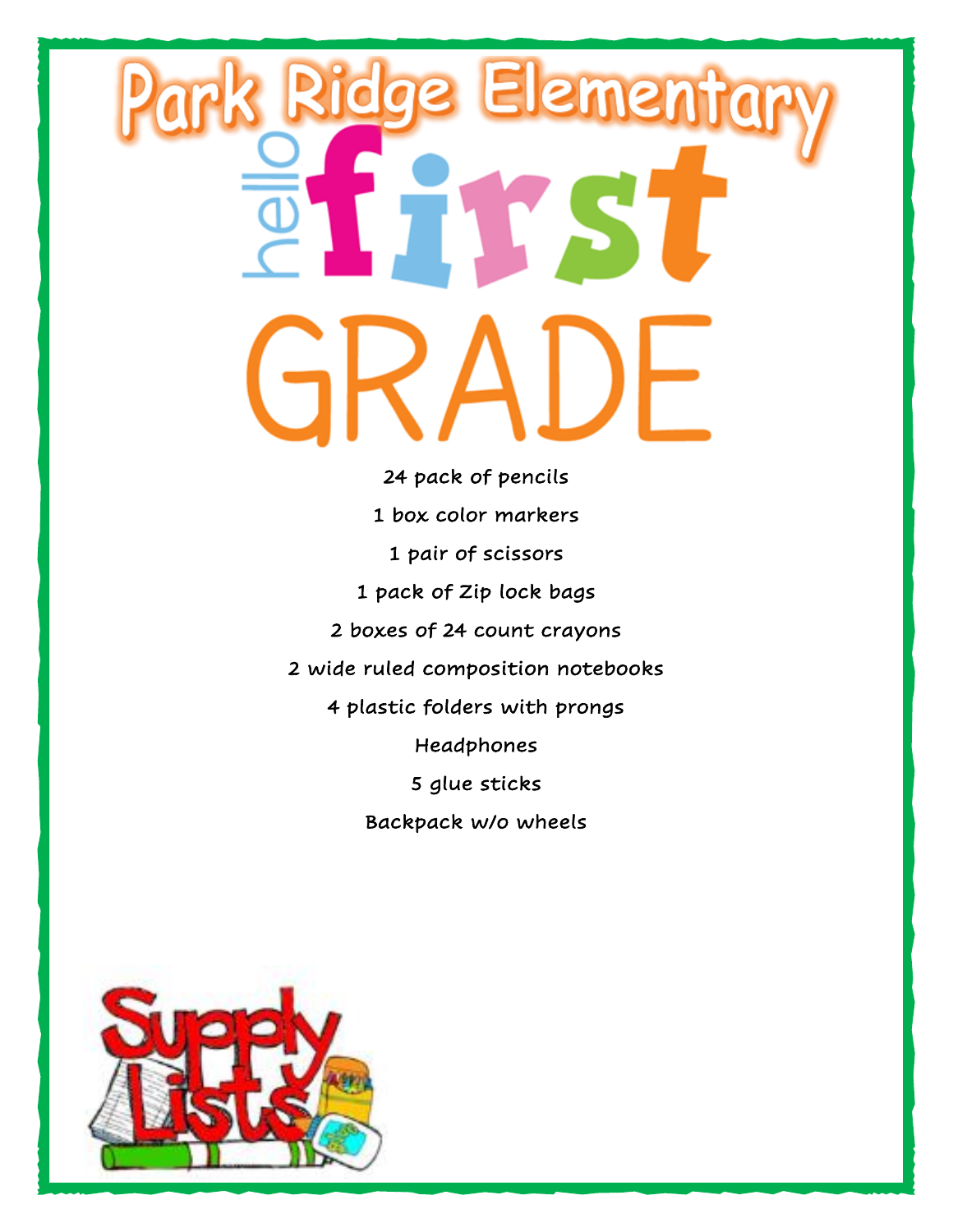## Elemento dge J ļ ſ ŗ I

24 pack of pencils 1 box color markers 1 pair of scissors 1 pack of Zip lock bags 2 boxes of 24 count crayons 2 wide ruled composition notebooks 4 plastic folders with prongs Headphones 5 glue sticks Backpack w/o wheels

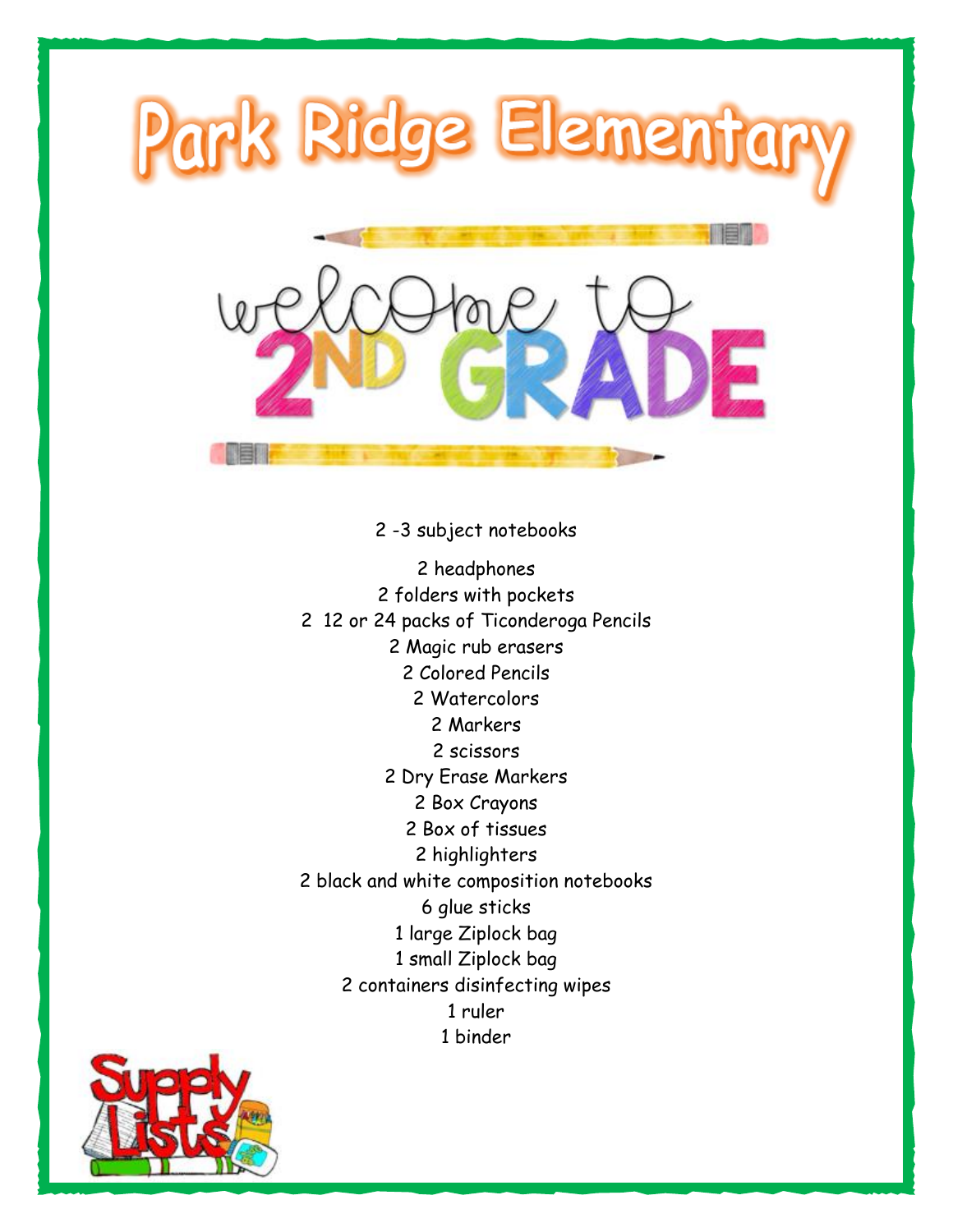

2 -3 subject notebooks 2 headphones 2 folders with pockets 2 12 or 24 packs of Ticonderoga Pencils 2 Magic rub erasers 2 Colored Pencils 2 Watercolors 2 Markers 2 scissors 2 Dry Erase Markers 2 Box Crayons 2 Box of tissues 2 highlighters 2 black and white composition notebooks 6 glue sticks 1 large Ziplock bag 1 small Ziplock bag 2 containers disinfecting wipes 1 ruler 1 binder